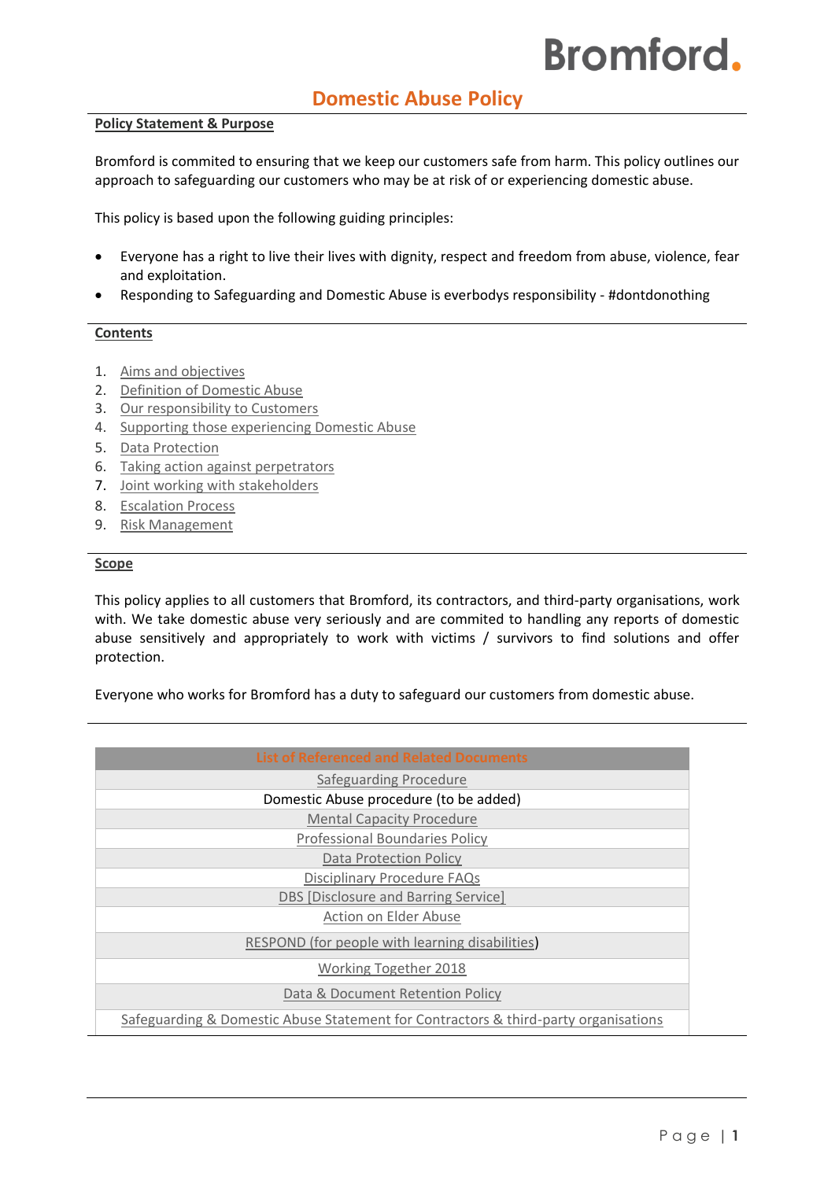# **Domestic Abuse Policy**

### **Policy Statement & Purpose**

Bromford is commited to ensuring that we keep our customers safe from harm. This policy outlines our approach to safeguarding our customers who may be at risk of or experiencing domestic abuse.

This policy is based upon the following guiding principles:

- Everyone has a right to live their lives with dignity, respect and freedom from abuse, violence, fear and exploitation.
- Responding to Safeguarding and Domestic Abuse is everbodys responsibility #dontdonothing

# **Contents**

- 1. [Aims and objectives](#page-1-0)
- 2. [Definition of Domestic Abuse](#page-2-0)
- 3. [Our responsibility to Customers](#page-3-0)
- 4. [Supporting those experiencing Domestic Abuse](#page-3-1)
- 5. [Data Protection](#page-3-2)
- 6. [Taking action against perpetrators](#page-3-3)
- 7. [Joint working with stakeholders](#page-4-0)
- 8. [Escalation Process](#page-4-1)
- 9. [Risk Management](#page-4-2)

#### **Scope**

This policy applies to all customers that Bromford, its contractors, and third-party organisations, work with. We take domestic abuse very seriously and are commited to handling any reports of domestic abuse sensitively and appropriately to work with victims / survivors to find solutions and offer protection.

Everyone who works for Bromford has a duty to safeguard our customers from domestic abuse.

| <b>List of Referenced and Related Documents</b>                                     |
|-------------------------------------------------------------------------------------|
|                                                                                     |
| Safeguarding Procedure                                                              |
| Domestic Abuse procedure (to be added)                                              |
| <b>Mental Capacity Procedure</b>                                                    |
| <b>Professional Boundaries Policy</b>                                               |
| <b>Data Protection Policy</b>                                                       |
| <b>Disciplinary Procedure FAQs</b>                                                  |
| DBS [Disclosure and Barring Service]                                                |
| Action on Elder Abuse                                                               |
| RESPOND (for people with learning disabilities)                                     |
| <b>Working Together 2018</b>                                                        |
| Data & Document Retention Policy                                                    |
| Safeguarding & Domestic Abuse Statement for Contractors & third-party organisations |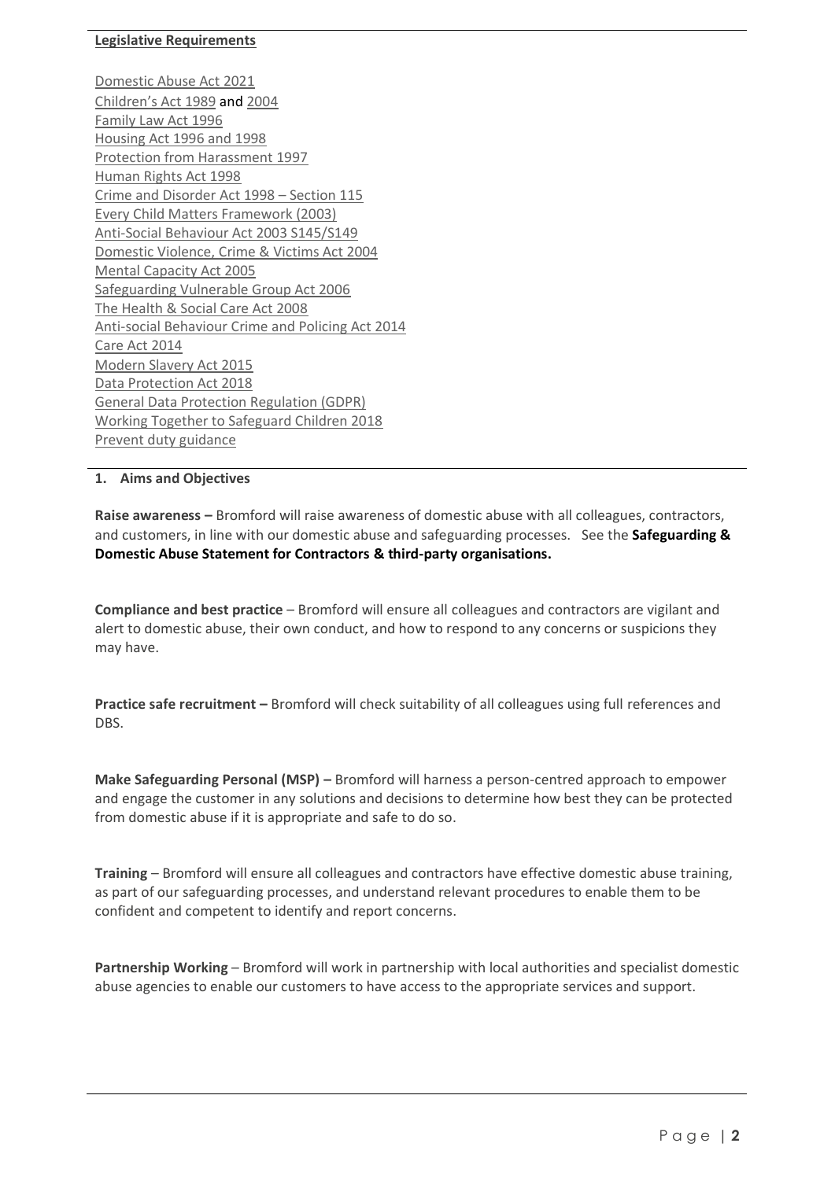# **Legislative Requirements**

[Domestic Abuse Act 2021](https://www.legislation.gov.uk/ukpga/2021/17/contents/enacted) [Children's Act 1989](http://www.legislation.gov.uk/ukpga/1989/41/contents) and [2004](http://www.legislation.gov.uk/ukpga/2004/31/contents) [Family Law Act 1996](http://www.legislation.gov.uk/ukpga/1996/27/contents) [Housing Act 1996](http://www.legislation.gov.uk/ukpga/1996/52/contents) an[d 1998](http://www.legislation.gov.uk/ukpga/1988/50/contents) [Protection from Harassment 1997](http://www.legislation.gov.uk/ukpga/1997/40/contents) [Human Rights Act 1998](http://www.legislation.gov.uk/ukpga/1998/42/contents) [Crime and Disorder Act 1998](http://www.legislation.gov.uk/ukpga/1998/37/section/115) – Section 115 [Every Child Matters Framework \(2003\)](https://www.gov.uk/government/uploads/system/uploads/attachment_data/file/272064/5860.pdf) [Anti-Social Behaviour Act 2003 S145/S149](http://www.legislation.gov.uk/ukpga/2003/38/contents) [Domestic Violence, Crime & Victims Act 2004](http://www.legislation.gov.uk/ukpga/2004/28/contents) [Mental Capacity Act 2005](http://www.legislation.gov.uk/ukpga/2005/9/contents) [Safeguarding Vulnerable Group Act 2006](http://www.legislation.gov.uk/ukpga/2006/47/pdfs/ukpga_20060047_en.pdf) [The Health & Social Care Act 2008](http://www.legislation.gov.uk/ukpga/2008/14/contents) [Anti-social Behaviour Crime and Policing Act 2014](http://www.legislation.gov.uk/ukpga/2014/12/contents/enacted) [Care Act 2014](http://www.legislation.gov.uk/ukpga/2014/23/contents/enacted) [Modern Slavery Act 2015](http://www.legislation.gov.uk/ukpga/2015/30/contents/enacted) [Data Protection Act 2018](http://www.legislation.gov.uk/ukpga/2018/12/contents/enacted) [General Data Protection Regulation \(GDPR\)](https://ico.org.uk/for-organisations/guide-to-data-protection/guide-to-the-general-data-protection-regulation-gdpr/) [Working Together to Safeguard Children 2018](https://assets.publishing.service.gov.uk/government/uploads/system/uploads/attachment_data/file/729914/Working_Together_to_Safeguard_Children-2018.pdf) [Prevent duty guidance](https://www.gov.uk/government/publications/prevent-duty-guidance)

# <span id="page-1-0"></span>**1. Aims and Objectives**

**Raise awareness –** Bromford will raise awareness of domestic abuse with all colleagues, contractors, and customers, in line with our domestic abuse and safeguarding processes. See the **Safeguarding & Domestic Abuse Statement for Contractors & third-party organisations.**

**Compliance and best practice** – Bromford will ensure all colleagues and contractors are vigilant and alert to domestic abuse, their own conduct, and how to respond to any concerns or suspicions they may have.

**Practice safe recruitment –** Bromford will check suitability of all colleagues using full references and DBS.

**Make Safeguarding Personal (MSP) –** Bromford will harness a person-centred approach to empower and engage the customer in any solutions and decisions to determine how best they can be protected from domestic abuse if it is appropriate and safe to do so.

**Training** – Bromford will ensure all colleagues and contractors have effective domestic abuse training, as part of our safeguarding processes, and understand relevant procedures to enable them to be confident and competent to identify and report concerns.

**Partnership Working** – Bromford will work in partnership with local authorities and specialist domestic abuse agencies to enable our customers to have access to the appropriate services and support.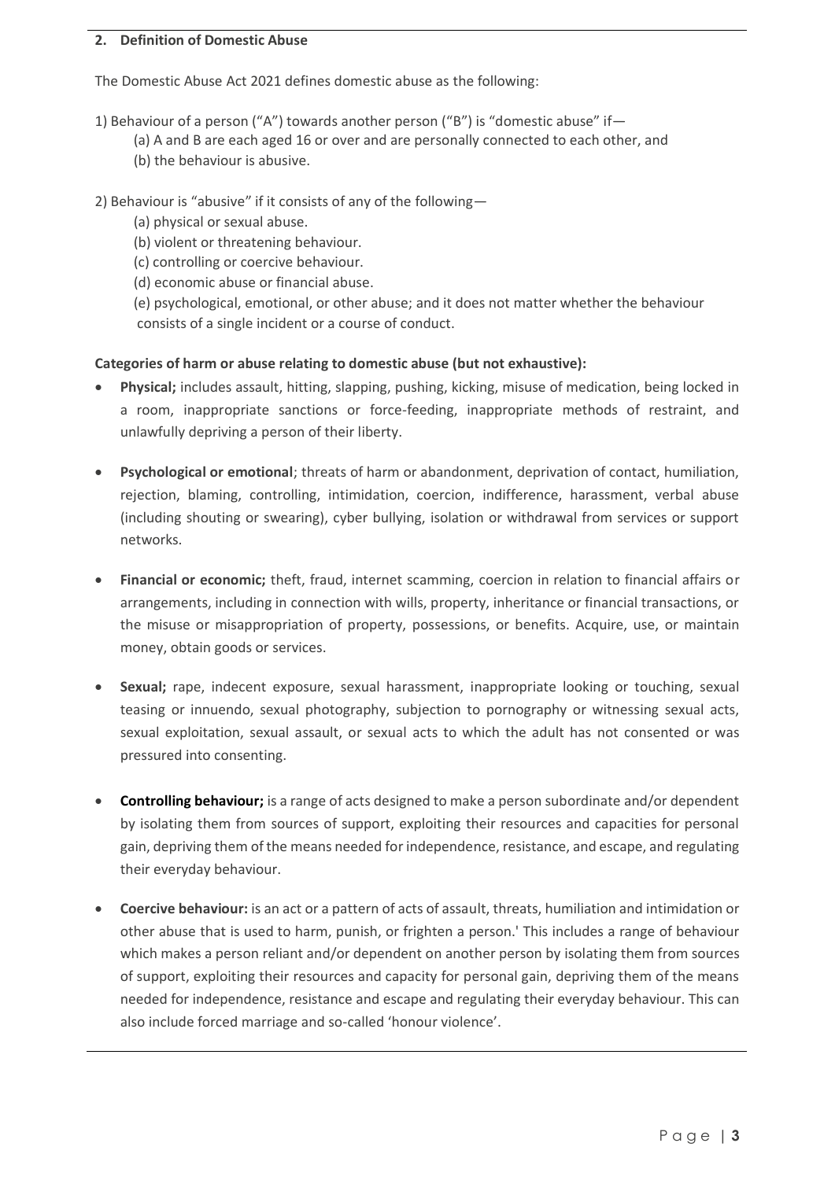# <span id="page-2-0"></span>**2. Definition of Domestic Abuse**

The Domestic Abuse Act 2021 defines domestic abuse as the following:

- 1) Behaviour of a person ("A") towards another person ("B") is "domestic abuse" if—
	- (a) A and B are each aged 16 or over and are personally connected to each other, and
	- (b) the behaviour is abusive.
- 2) Behaviour is "abusive" if it consists of any of the following—
	- (a) physical or sexual abuse.
	- (b) violent or threatening behaviour.
	- (c) controlling or coercive behaviour.
	- (d) economic abuse or financial abuse.

 (e) psychological, emotional, or other abuse; and it does not matter whether the behaviour consists of a single incident or a course of conduct.

# **Categories of harm or abuse relating to domestic abuse (but not exhaustive):**

- **Physical;** includes assault, hitting, slapping, pushing, kicking, misuse of medication, being locked in a room, inappropriate sanctions or force-feeding, inappropriate methods of restraint, and unlawfully depriving a person of their liberty.
- **Psychological or emotional**; threats of harm or abandonment, deprivation of contact, humiliation, rejection, blaming, controlling, intimidation, coercion, indifference, harassment, verbal abuse (including shouting or swearing), cyber bullying, isolation or withdrawal from services or support networks.
- **Financial or economic;** theft, fraud, internet scamming, coercion in relation to financial affairs or arrangements, including in connection with wills, property, inheritance or financial transactions, or the misuse or misappropriation of property, possessions, or benefits. Acquire, use, or maintain money, obtain goods or services.
- **Sexual;** rape, indecent exposure, sexual harassment, inappropriate looking or touching, sexual teasing or innuendo, sexual photography, subjection to pornography or witnessing sexual acts, sexual exploitation, sexual assault, or sexual acts to which the adult has not consented or was pressured into consenting.
- **Controlling behaviour;** is a range of acts designed to make a person subordinate and/or dependent by isolating them from sources of support, exploiting their resources and capacities for personal gain, depriving them of the means needed for independence, resistance, and escape, and regulating their everyday behaviour.
- **Coercive behaviour:** is an act or a pattern of acts of assault, threats, humiliation and intimidation or other abuse that is used to harm, punish, or frighten a person.' This includes a range of behaviour which makes a person reliant and/or dependent on another person by isolating them from sources of support, exploiting their resources and capacity for personal gain, depriving them of the means needed for independence, resistance and escape and regulating their everyday behaviour. This can also include forced marriage and so-called 'honour violence'.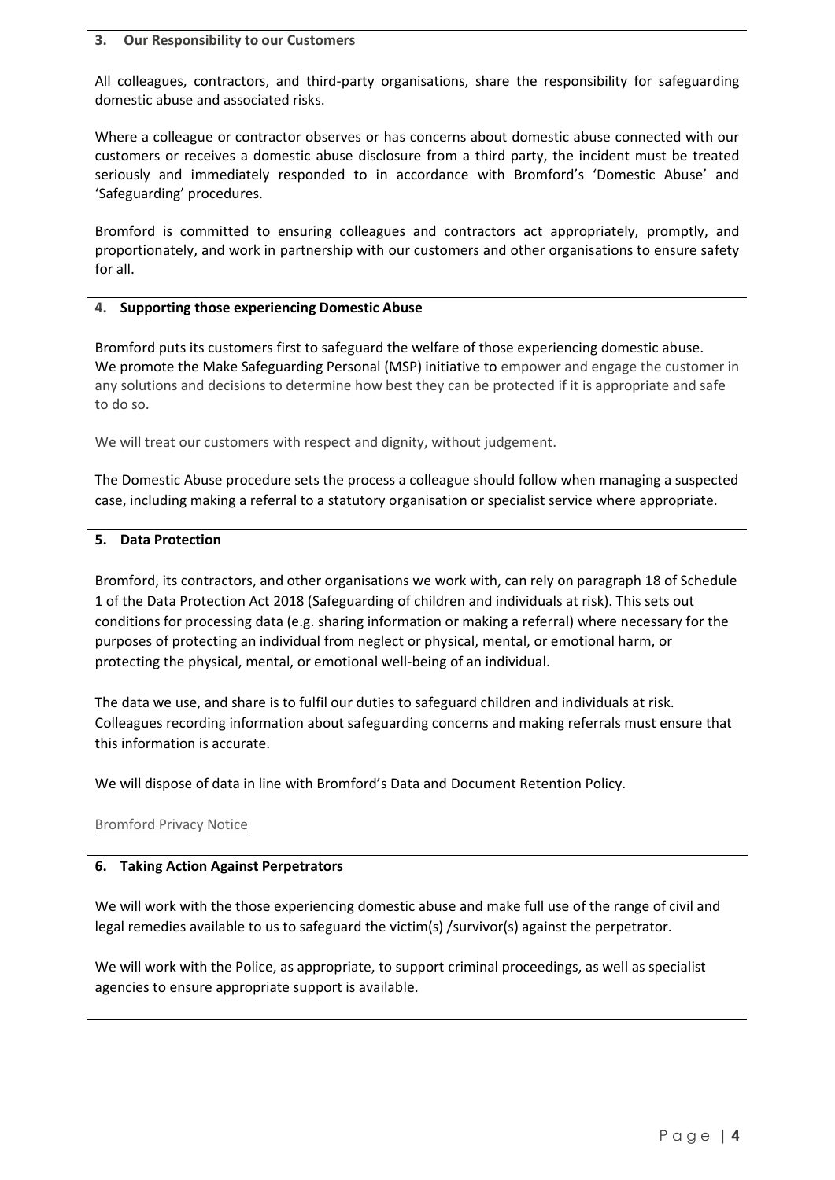#### <span id="page-3-0"></span>**3. Our Responsibility to our Customers**

All colleagues, contractors, and third-party organisations, share the responsibility for safeguarding domestic abuse and associated risks.

Where a colleague or contractor observes or has concerns about domestic abuse connected with our customers or receives a domestic abuse disclosure from a third party, the incident must be treated seriously and immediately responded to in accordance with Bromford's 'Domestic Abuse' and 'Safeguarding' procedures.

Bromford is committed to ensuring colleagues and contractors act appropriately, promptly, and proportionately, and work in partnership with our customers and other organisations to ensure safety for all.

#### <span id="page-3-1"></span>**4. Supporting those experiencing Domestic Abuse**

Bromford puts its customers first to safeguard the welfare of those experiencing domestic abuse. We promote the Make Safeguarding Personal (MSP) initiative to empower and engage the customer in any solutions and decisions to determine how best they can be protected if it is appropriate and safe to do so.

We will treat our customers with respect and dignity, without judgement.

The Domestic Abuse procedure sets the process a colleague should follow when managing a suspected case, including making a referral to a statutory organisation or specialist service where appropriate.

# <span id="page-3-2"></span>**5. Data Protection**

Bromford, its contractors, and other organisations we work with, can rely on paragraph 18 of Schedule 1 of the Data Protection Act 2018 (Safeguarding of children and individuals at risk). This sets out conditions for processing data (e.g. sharing information or making a referral) where necessary for the purposes of protecting an individual from neglect or physical, mental, or emotional harm, or protecting the physical, mental, or emotional well-being of an individual.

The data we use, and share is to fulfil our duties to safeguard children and individuals at risk. Colleagues recording information about safeguarding concerns and making referrals must ensure that this information is accurate.

We will dispose of data in line with Bromford's Data and Document Retention Policy.

# [Bromford Privacy Notice](https://www.bromford.co.uk/about-us/open-and-transparent/privacy-notice/)

# <span id="page-3-3"></span>**6. Taking Action Against Perpetrators**

We will work with the those experiencing domestic abuse and make full use of the range of civil and legal remedies available to us to safeguard the victim(s) /survivor(s) against the perpetrator.

We will work with the Police, as appropriate, to support criminal proceedings, as well as specialist agencies to ensure appropriate support is available.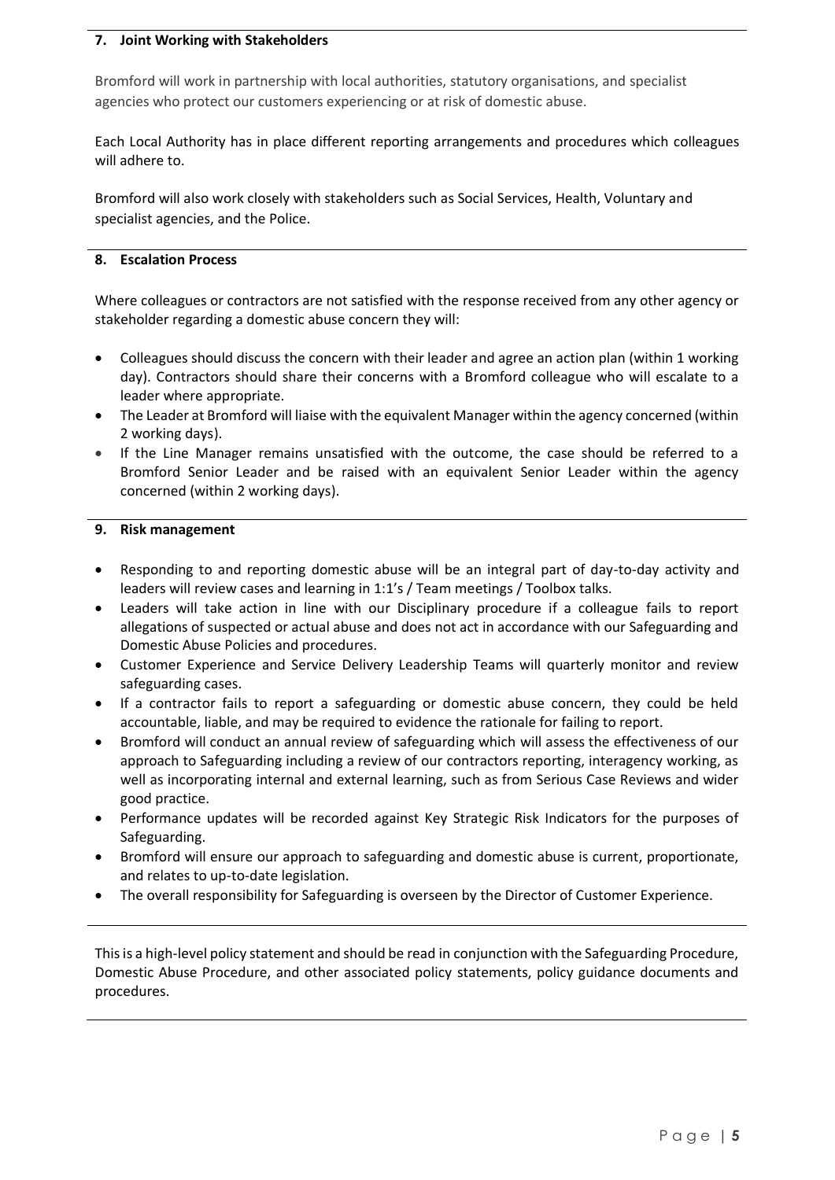# <span id="page-4-0"></span>**7. Joint Working with Stakeholders**

Bromford will work in partnership with local authorities, statutory organisations, and specialist agencies who protect our customers experiencing or at risk of domestic abuse.

Each Local Authority has in place different reporting arrangements and procedures which colleagues will adhere to.

Bromford will also work closely with stakeholders such as Social Services, Health, Voluntary and specialist agencies, and the Police.

# <span id="page-4-1"></span>**8. Escalation Process**

Where colleagues or contractors are not satisfied with the response received from any other agency or stakeholder regarding a domestic abuse concern they will:

- Colleagues should discuss the concern with their leader and agree an action plan (within 1 working day). Contractors should share their concerns with a Bromford colleague who will escalate to a leader where appropriate.
- The Leader at Bromford will liaise with the equivalent Manager within the agency concerned (within 2 working days).
- If the Line Manager remains unsatisfied with the outcome, the case should be referred to a Bromford Senior Leader and be raised with an equivalent Senior Leader within the agency concerned (within 2 working days).

# <span id="page-4-2"></span>**9. Risk management**

- Responding to and reporting domestic abuse will be an integral part of day-to-day activity and leaders will review cases and learning in 1:1's / Team meetings / Toolbox talks.
- Leaders will take action in line with our Disciplinary procedure if a colleague fails to report allegations of suspected or actual abuse and does not act in accordance with our Safeguarding and Domestic Abuse Policies and procedures.
- Customer Experience and Service Delivery Leadership Teams will quarterly monitor and review safeguarding cases.
- If a contractor fails to report a safeguarding or domestic abuse concern, they could be held accountable, liable, and may be required to evidence the rationale for failing to report.
- Bromford will conduct an annual review of safeguarding which will assess the effectiveness of our approach to Safeguarding including a review of our contractors reporting, interagency working, as well as incorporating internal and external learning, such as from Serious Case Reviews and wider good practice.
- Performance updates will be recorded against Key Strategic Risk Indicators for the purposes of Safeguarding.
- Bromford will ensure our approach to safeguarding and domestic abuse is current, proportionate, and relates to up-to-date legislation.
- The overall responsibility for Safeguarding is overseen by the Director of Customer Experience.

This is a high-level policy statement and should be read in conjunction with the Safeguarding Procedure, Domestic Abuse Procedure, and other associated policy statements, policy guidance documents and procedures.